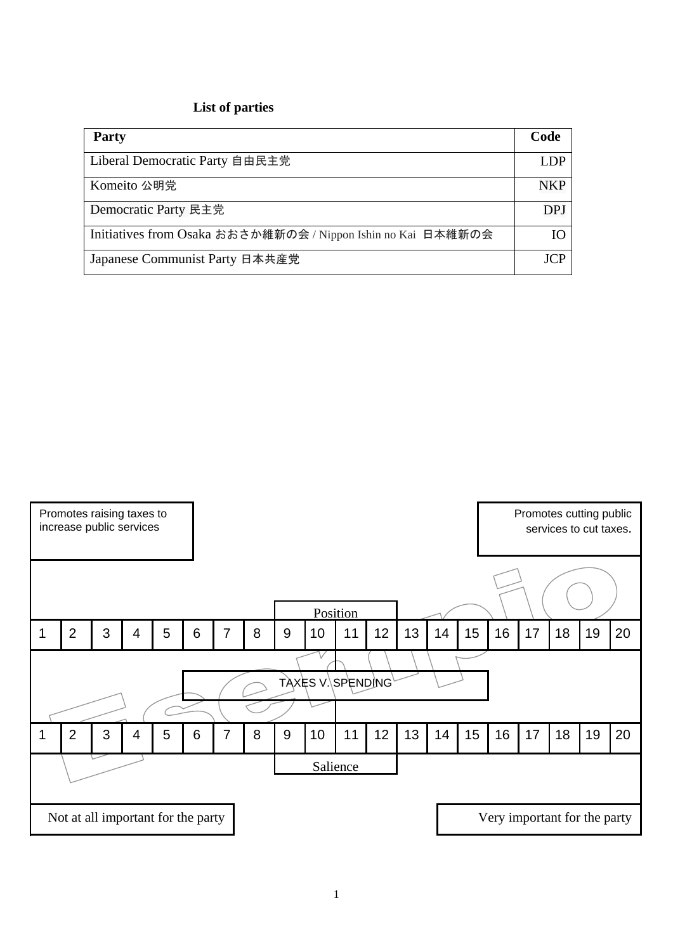## **List of parties**

| <b>Party</b>                                                 | Code       |
|--------------------------------------------------------------|------------|
| Liberal Democratic Party 自由民主党                               | LDP.       |
| Komeito 公明党                                                  | <b>NKP</b> |
| Democratic Party 民主党                                         | <b>DPJ</b> |
| Initiatives from Osaka おおさか維新の会 / Nippon Ishin no Kai 日本維新の会 | Ю          |
| Japanese Communist Party 日本共産党                               | ICP        |

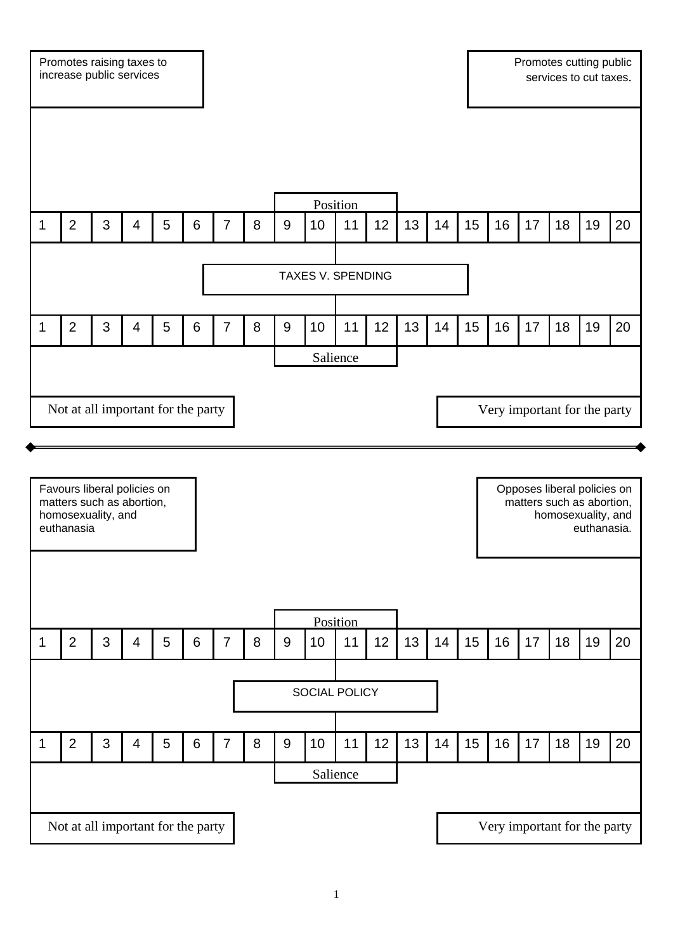

1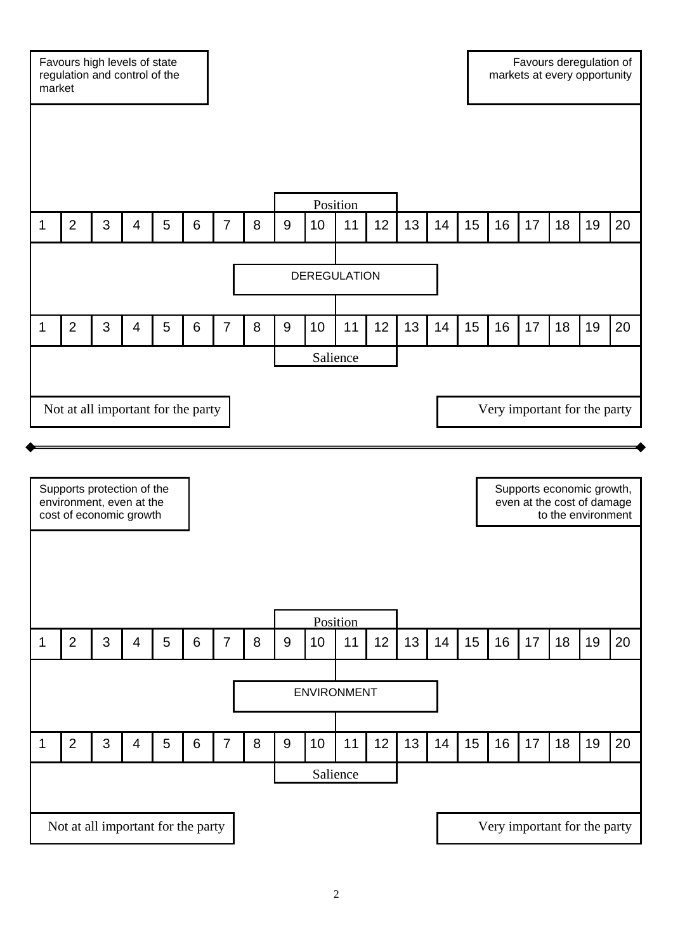Favours high levels of state regulation and control of the market Favours deregulation of markets at every opportunity **DEREGULATION** Not at all important for the party  $\blacksquare$ Salience Position 1 |2 | 3 | 4 | 5 | 6 | 7 | 8 | 9 |10 | 11 | 12 | 13 | 14 | 15 | 16 | 17 | 18 |19 |20 1 |2 | 3 | 4 | 5 | 6 | 7 | 8 | 9 |10 | 11 | 12 | 13 | 14 | 15 | 16 | 17 | 18 |19 |20

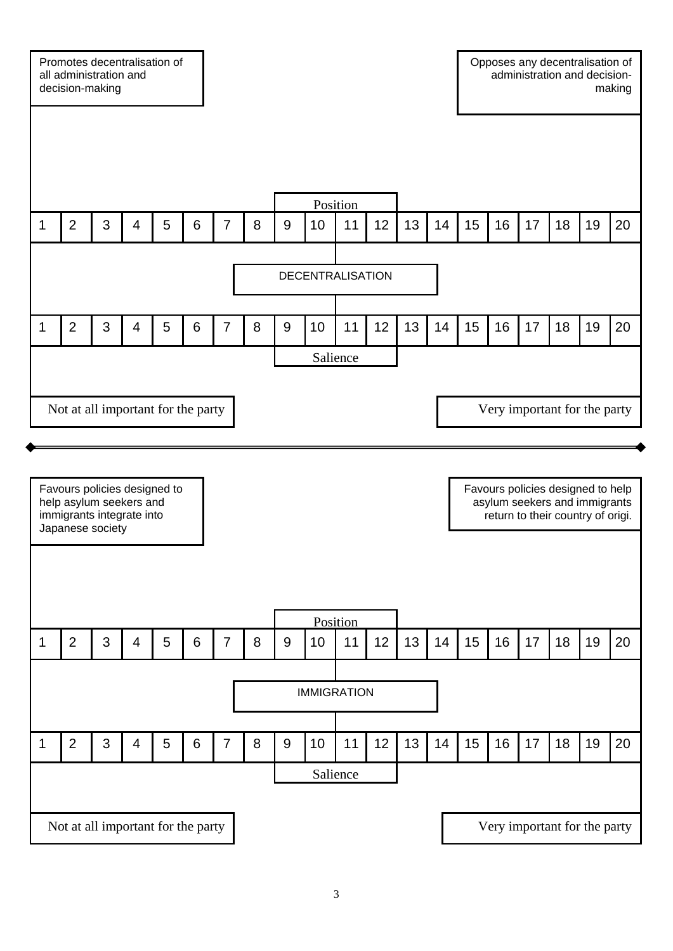

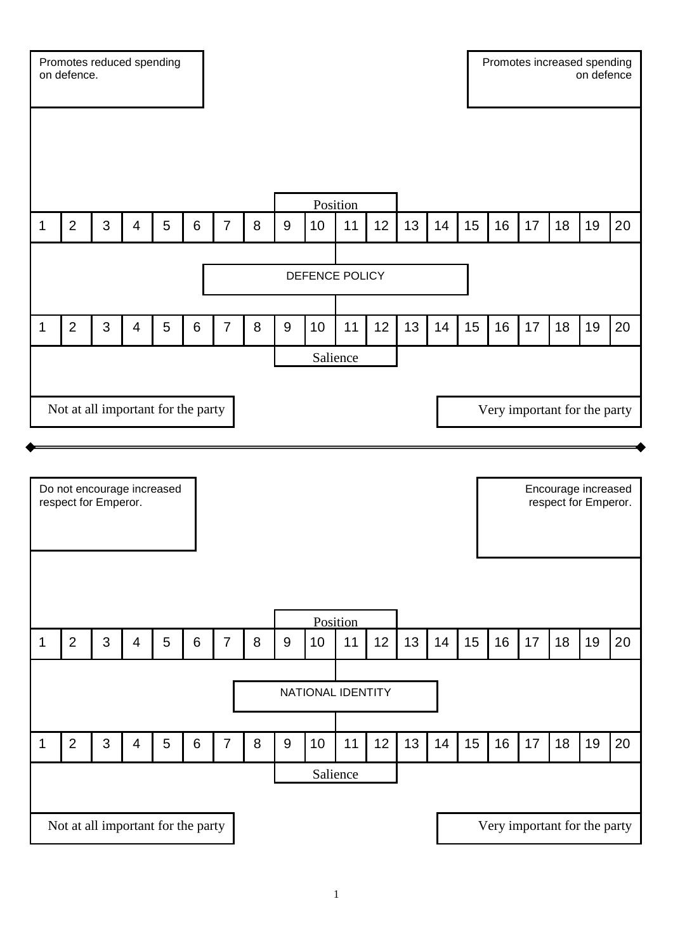